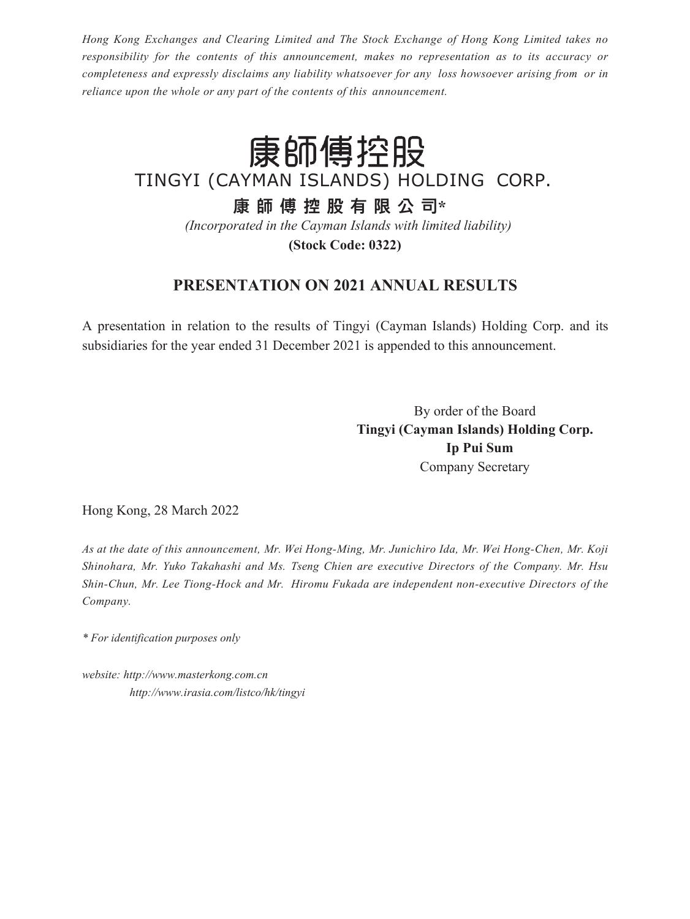*Hong Kong Exchanges and Clearing Limited and The Stock Exchange of Hong Kong Limited takes no responsibility for the contents of this announcement, makes no representation as to its accuracy or completeness and expressly disclaims any liability whatsoever for any loss howsoever arising from or in reliance upon the whole or any part of the contents of this announcement.*

# 康師傅控股

TINGYI (CAYMAN ISLANDS) HOLDING CORP.

**康 師 傅 控 股 有 限 公 司\***

*(Incorporated in the Cayman Islands with limited liability)* **(Stock Code: 0322)**

#### **PRESENTATION ON 2021 ANNUAL RESULTS**

A presentation in relation to the results of Tingyi (Cayman Islands) Holding Corp. and its subsidiaries for the year ended 31 December 2021 is appended to this announcement.

> By order of the Board **Tingyi (Cayman Islands) Holding Corp. Ip Pui Sum** Company Secretary

Hong Kong, 28 March 2022

*As at the date of this announcement, Mr. Wei Hong-Ming, Mr. Junichiro Ida, Mr. Wei Hong-Chen, Mr. Koji Shinohara, Mr. Yuko Takahashi and Ms. Tseng Chien are executive Directors of the Company. Mr. Hsu Shin-Chun, Mr. Lee Tiong-Hock and Mr. Hiromu Fukada are independent non-executive Directors of the Company.*

*\* For identification purposes only*

*website[: http://www.masterkong.com.cn](http://www.masterkong.com.cn/) <http://www.irasia.com/listco/hk/tingyi>*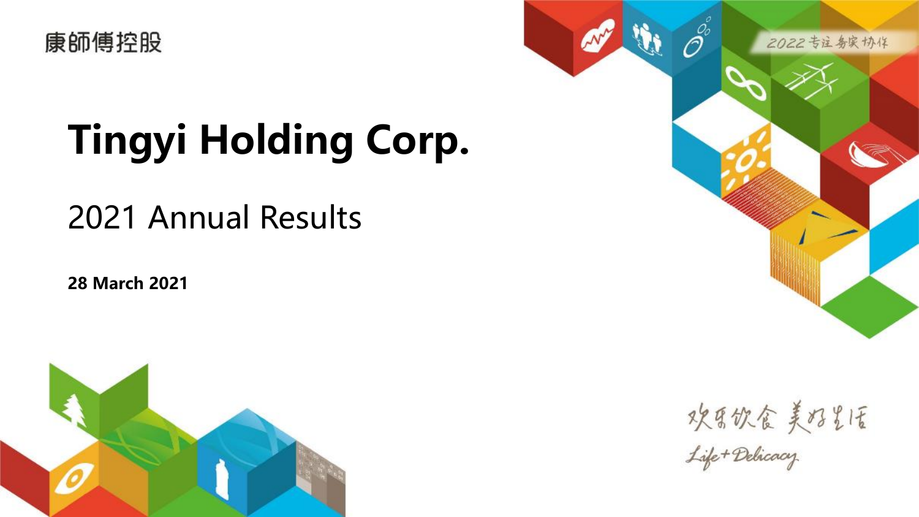

# **Tingyi Holding Corp.**

# 2021 Annual Results

**28 March 2021**





攻集饮食美好光质<br><del>Life+Delicacy</del>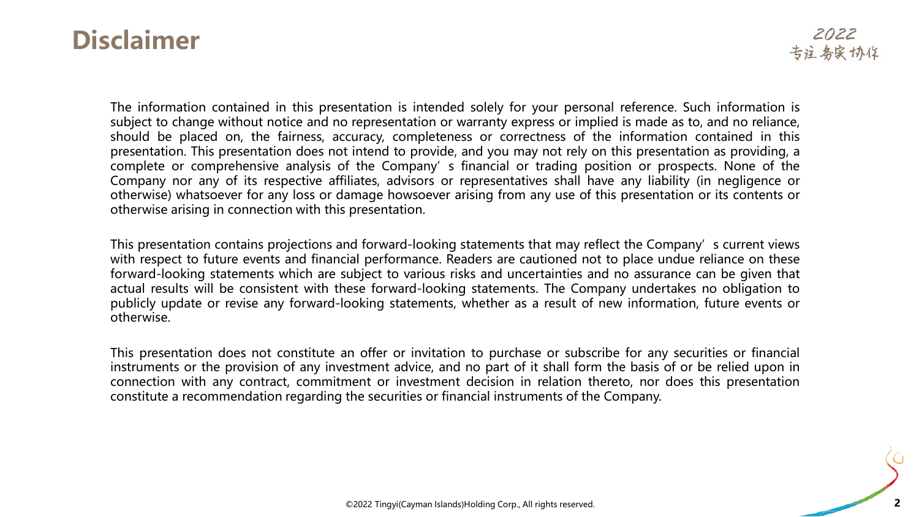#### **Disclaimer**

The information contained in this presentation is intended solely for your personal reference. Such information is subject to change without notice and no representation or warranty express or implied is made as to, and no reliance, should be placed on, the fairness, accuracy, completeness or correctness of the information contained in this presentation. This presentation does not intend to provide, and you may not rely on this presentation as providing, a complete or comprehensive analysis of the Company' s financial or trading position or prospects. None of the Company nor any of its respective affiliates, advisors or representatives shall have any liability (in negligence or otherwise) whatsoever for any loss or damage howsoever arising from any use of this presentation or its contents or otherwise arising in connection with this presentation.

This presentation contains projections and forward-looking statements that may reflect the Company's current views with respect to future events and financial performance. Readers are cautioned not to place undue reliance on these forward-looking statements which are subject to various risks and uncertainties and no assurance can be given that actual results will be consistent with these forward-looking statements. The Company undertakes no obligation to publicly update or revise any forward-looking statements, whether as a result of new information, future events or otherwise.

This presentation does not constitute an offer or invitation to purchase or subscribe for any securities or financial instruments or the provision of any investment advice, and no part of it shall form the basis of or be relied upon in connection with any contract, commitment or investment decision in relation thereto, nor does this presentation constitute a recommendation regarding the securities or financial instruments of the Company.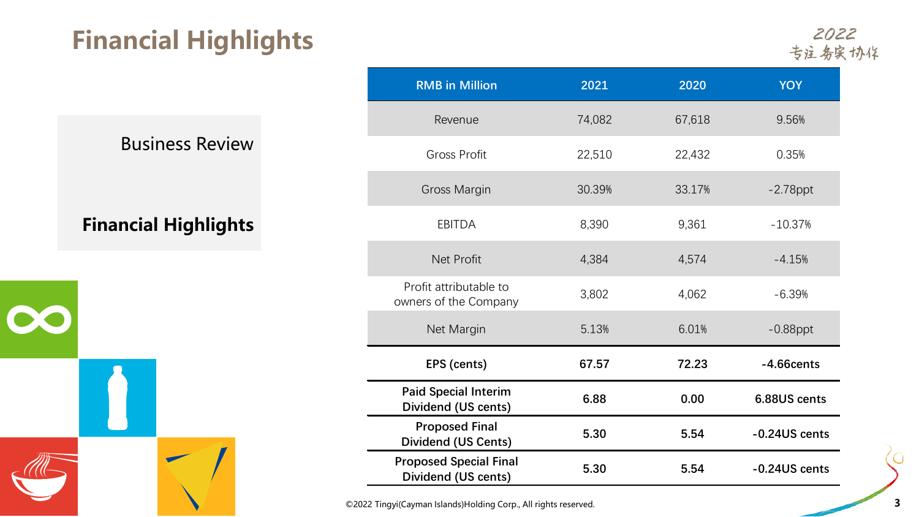# **Financial Highlights**

2022<br>专注务实协作

#### **Financial Highlights**

| $\sqrt{d}G$ |  |
|-------------|--|

| <b>RMB</b> in Million                                | 2021   | 2020   | <b>YOY</b>    |
|------------------------------------------------------|--------|--------|---------------|
| Revenue                                              | 74,082 | 67,618 | 9.56%         |
| <b>Gross Profit</b>                                  | 22,510 | 22,432 | 0.35%         |
| Gross Margin                                         | 30.39% | 33.17% | $-2.78$ ppt   |
| <b>EBITDA</b>                                        | 8,390  | 9,361  | $-10.37%$     |
| Net Profit                                           | 4,384  | 4,574  | $-4.15%$      |
| Profit attributable to<br>owners of the Company      | 3,802  | 4,062  | $-6.39%$      |
| Net Margin                                           | 5.13%  | 6.01%  | $-0.88$ ppt   |
| EPS (cents)                                          | 67.57  | 72.23  | $-4.66cents$  |
| <b>Paid Special Interim</b><br>Dividend (US cents)   | 6.88   | 0.00   | 6.88US cents  |
| <b>Proposed Final</b><br><b>Dividend (US Cents)</b>  | 5.30   | 5.54   | -0.24US cents |
| <b>Proposed Special Final</b><br>Dividend (US cents) | 5.30   | 5.54   | -0.24US cents |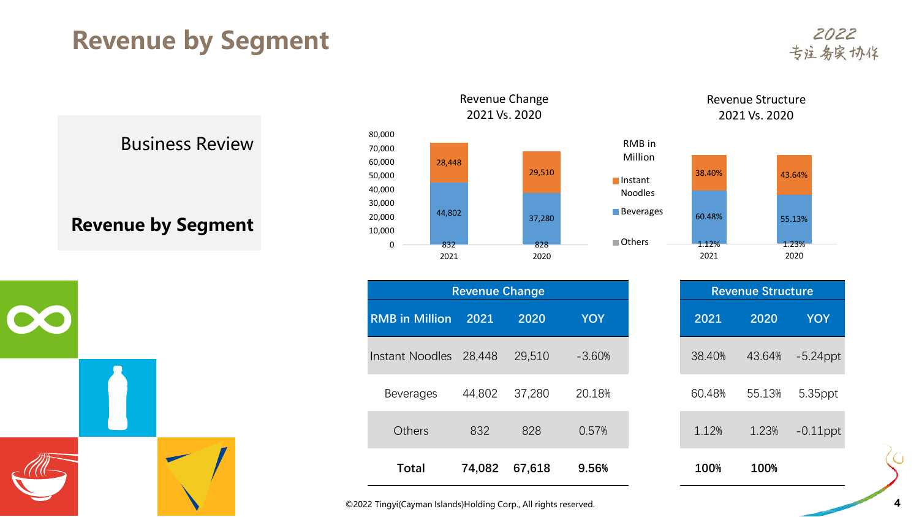## **Revenue by Segment**

2022 专注务实协作

Business Review

**Revenue by Segment**



|                       | <b>Revenue Change</b> |        |            |        | <b>Revenue Structure</b> |
|-----------------------|-----------------------|--------|------------|--------|--------------------------|
| <b>RMB in Million</b> | 2021                  | 2020   | <b>YOY</b> | 2021   | 2020                     |
| Instant Noodles       | 28,448                | 29,510 | $-3.60%$   | 38.40% | 43.64%                   |
| <b>Beverages</b>      | 44,802                | 37,280 | 20.18%     | 60.48% | 55.13%                   |
| <b>Others</b>         | 832                   | 828    | 0.57%      | 1.12%  | 1.23%                    |
| <b>Total</b>          | 74,082                | 67,618 | 9.56%      | 100%   | 100%                     |





⌒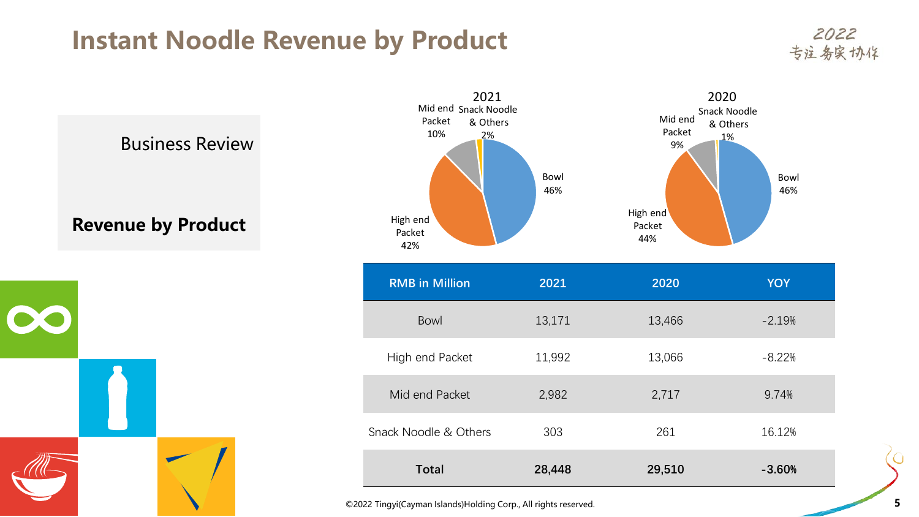### **Instant Noodle Revenue by Product**

2022 专注务实协作



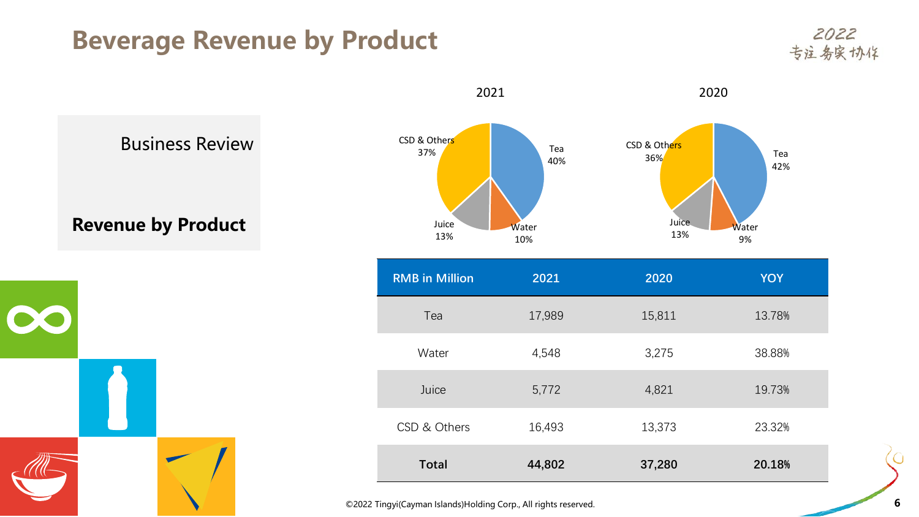### **Beverage Revenue by Product**

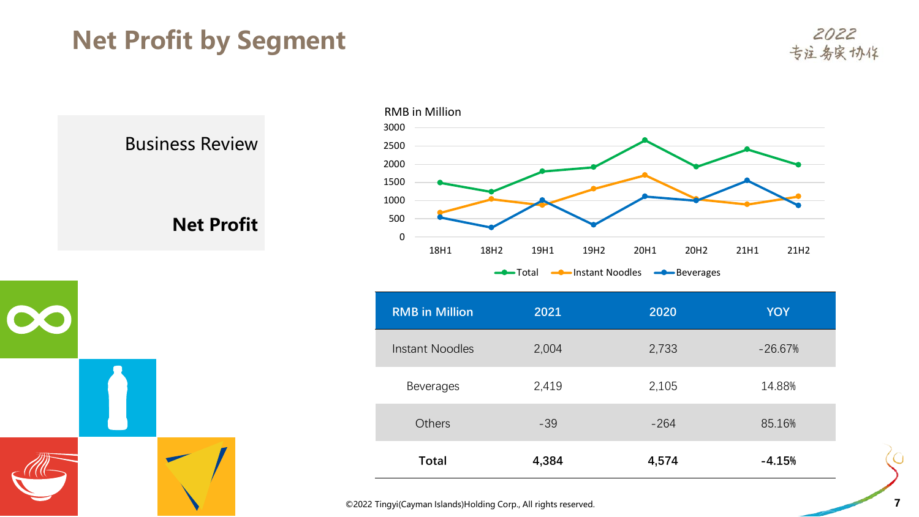# **Net Profit by Segment**

2022 专注务实协作

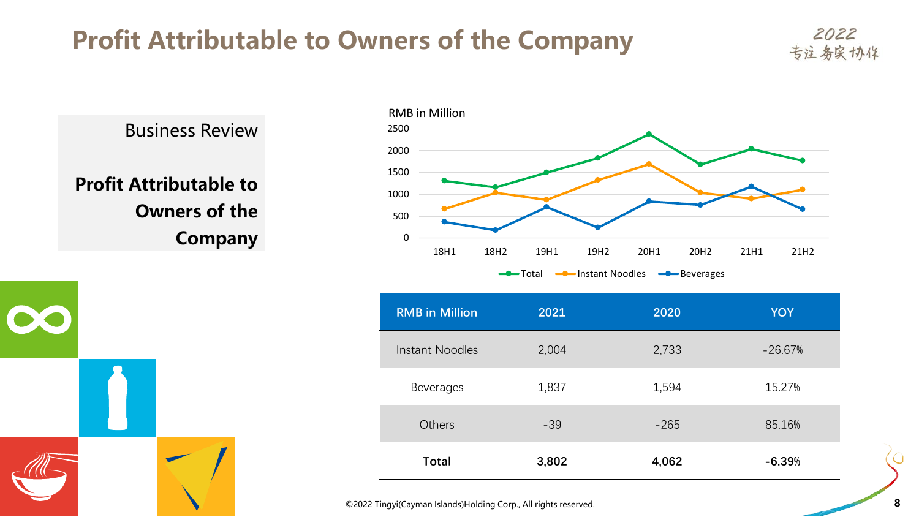# **Profit Attributable to Owners of the Company**

Business Review **Profit Attributable to Owners of the Company**



| <b>RMB</b> in Million | 2021  | 2020   | <b>YOY</b> |
|-----------------------|-------|--------|------------|
| Instant Noodles       | 2,004 | 2,733  | $-26.67%$  |
| <b>Beverages</b>      | 1,837 | 1,594  | 15.27%     |
| <b>Others</b>         | $-39$ | $-265$ | 85.16%     |
| <b>Total</b>          | 3,802 | 4,062  | $-6.39%$   |

2022 专注务实协作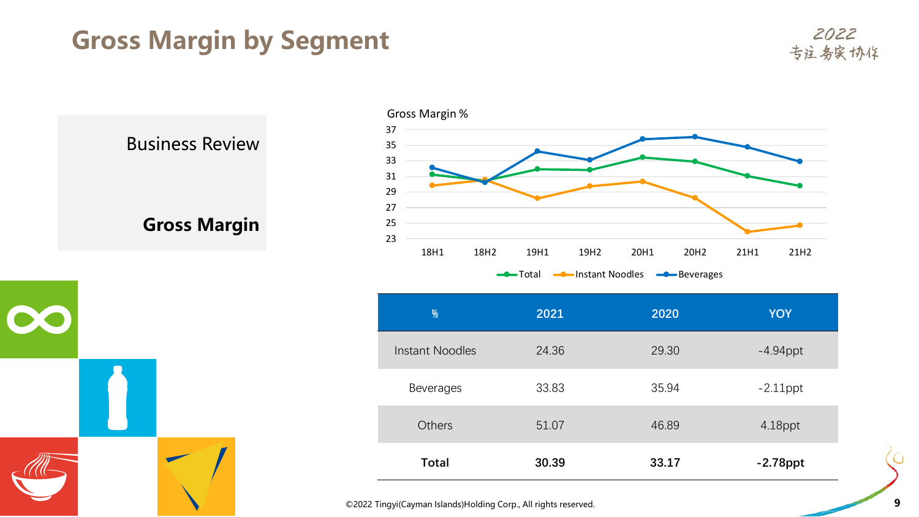# **Gross Margin by Segment**

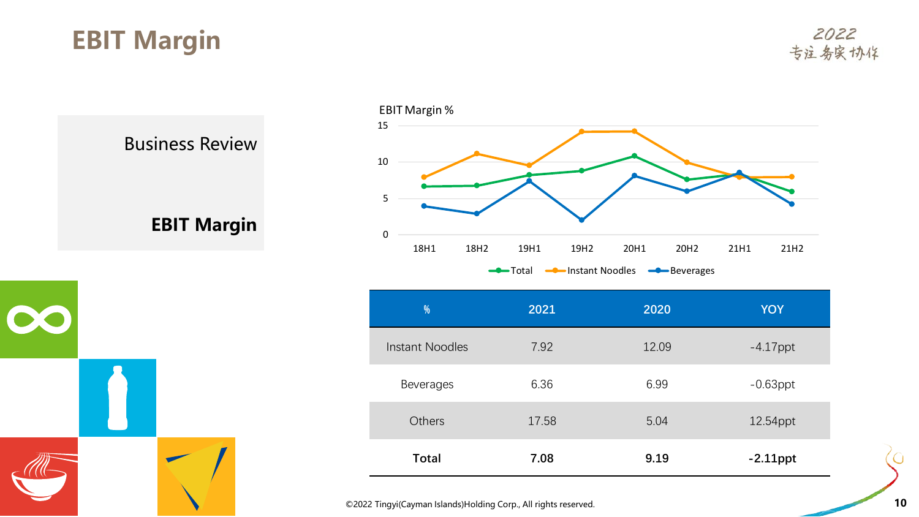# **EBIT Margin**





| %                      | 2021  | 2020  | <b>YOY</b>  |
|------------------------|-------|-------|-------------|
| <b>Instant Noodles</b> | 7.92  | 12.09 | $-4.17$ ppt |
| <b>Beverages</b>       | 6.36  | 6.99  | $-0.63$ ppt |
| <b>Others</b>          | 17.58 | 5.04  | 12.54ppt    |
| <b>Total</b>           | 7.08  | 9.19  | $-2.11$ ppt |

©2022 Tingyi(Cayman Islands)Holding Corp., All rights reserved. **10**

⌒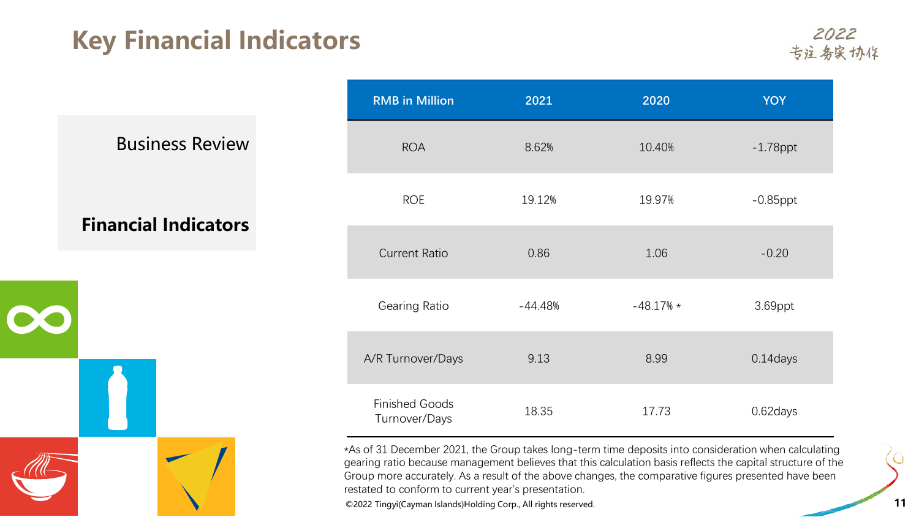# **Key Financial Indicators**

2022 专注务实协作

Business Review

**Financial Indicators**



| <b>RMB</b> in Million                  | 2021      | 2020        | <b>YOY</b>  |
|----------------------------------------|-----------|-------------|-------------|
| <b>ROA</b>                             | 8.62%     | 10.40%      | $-1.78$ ppt |
| <b>ROE</b>                             | 19.12%    | 19.97%      | $-0.85$ ppt |
| <b>Current Ratio</b>                   | 0.86      | 1.06        | $-0.20$     |
| Gearing Ratio                          | $-44.48%$ | $-48.17%$ * | 3.69ppt     |
| A/R Turnover/Days                      | 9.13      | 8.99        | 0.14days    |
| <b>Finished Goods</b><br>Turnover/Days | 18.35     | 17.73       | 0.62days    |

\*As of 31 December 2021, the Group takes long-term time deposits into consideration when calculating gearing ratio because management believes that this calculation basis reflects the capital structure of the Group more accurately. As a result of the above changes, the comparative figures presented have been restated to conform to current year's presentation.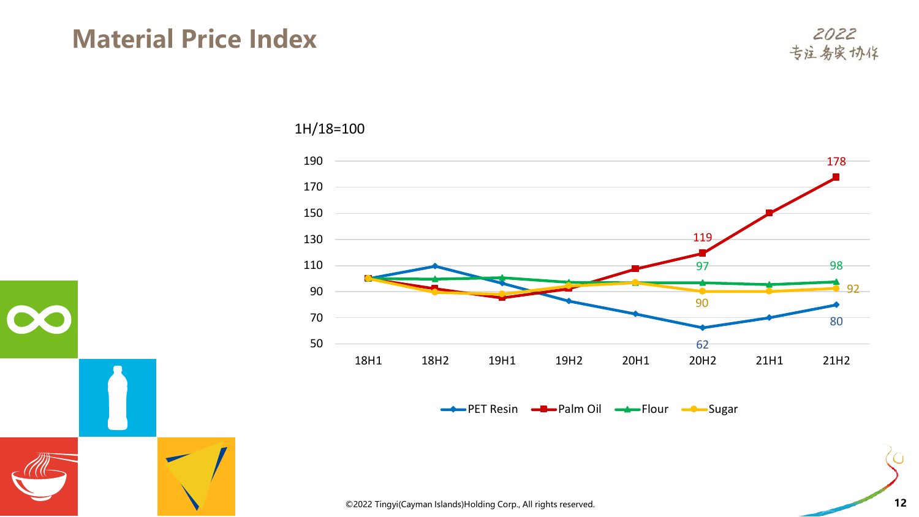#### **Material Price Index**

 $\infty$ 



1H/18=100



©2022 Tingyi(Cayman Islands)Holding Corp., All rights reserved. **12**

∩